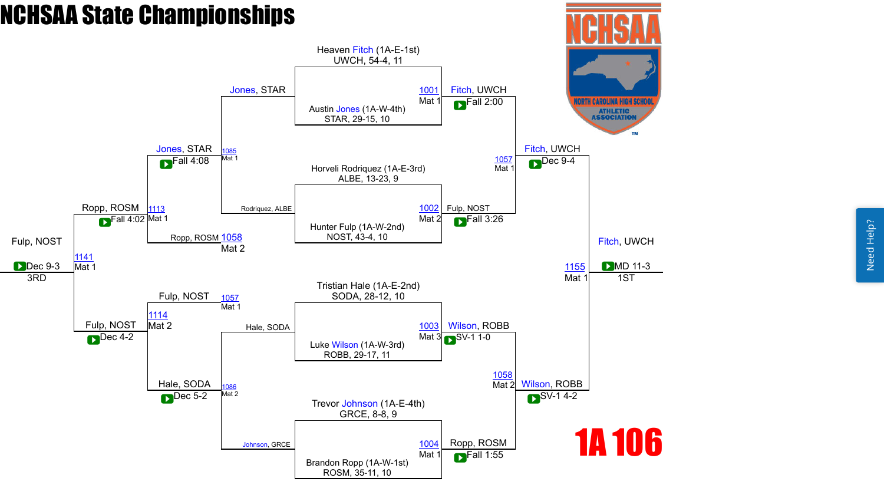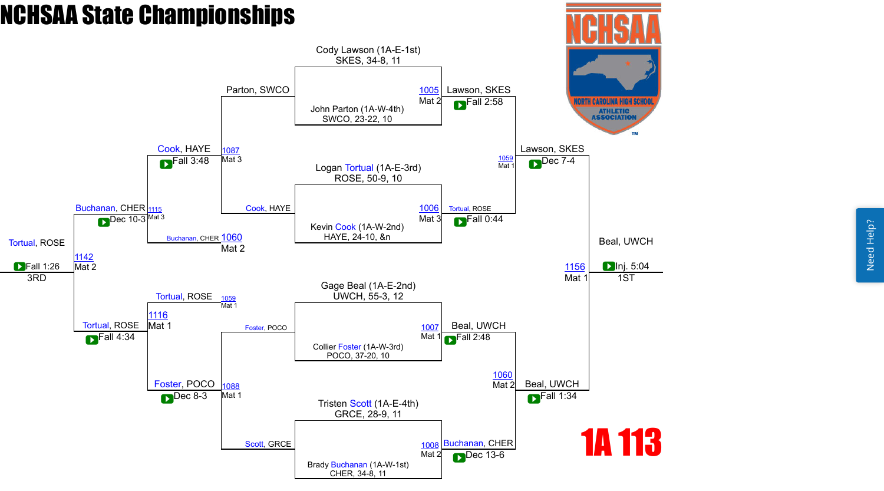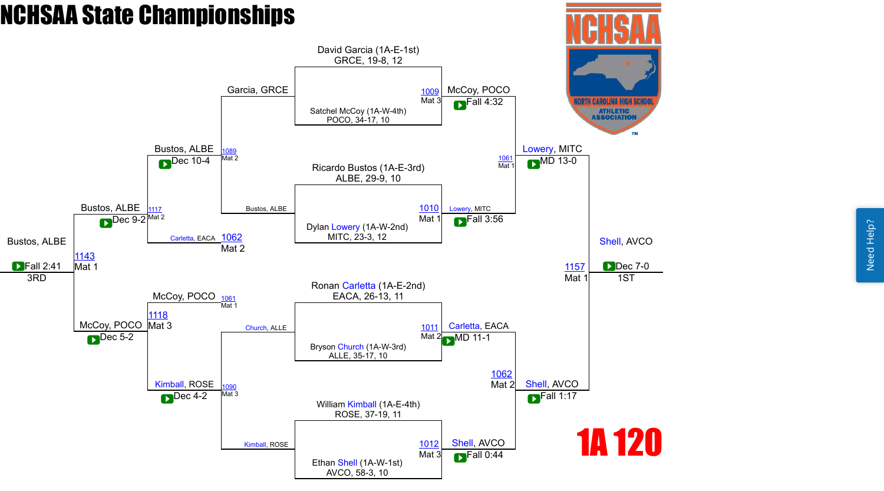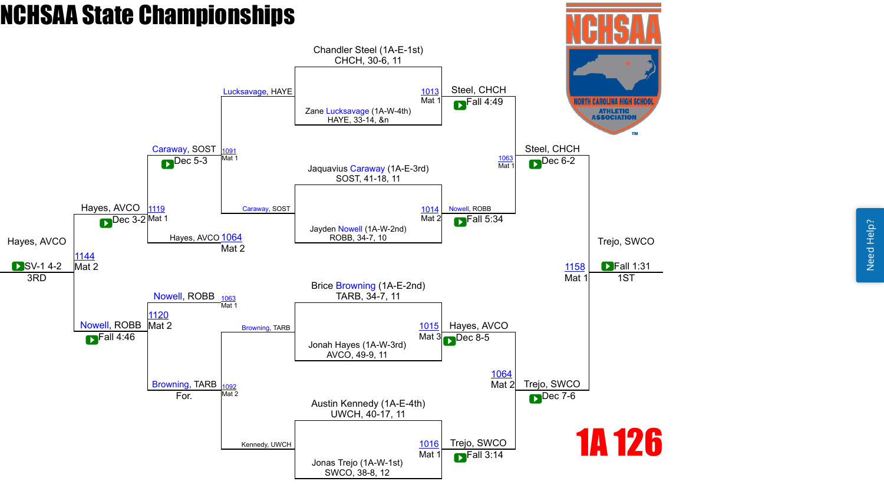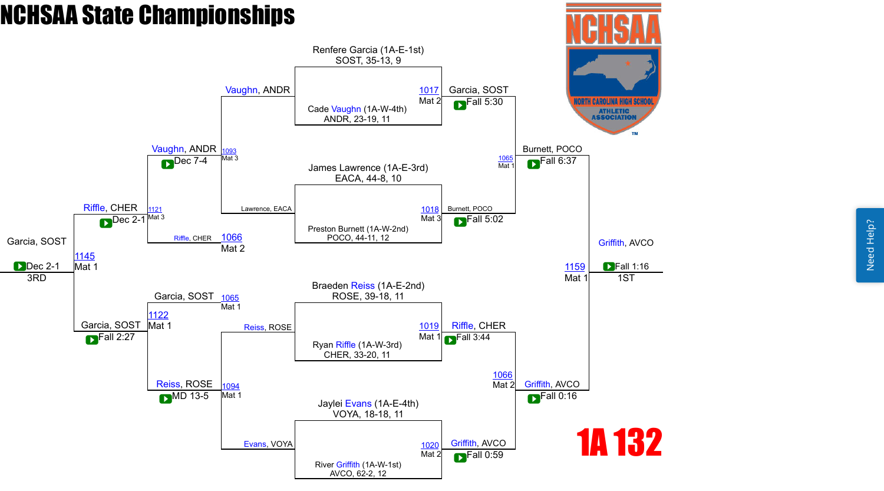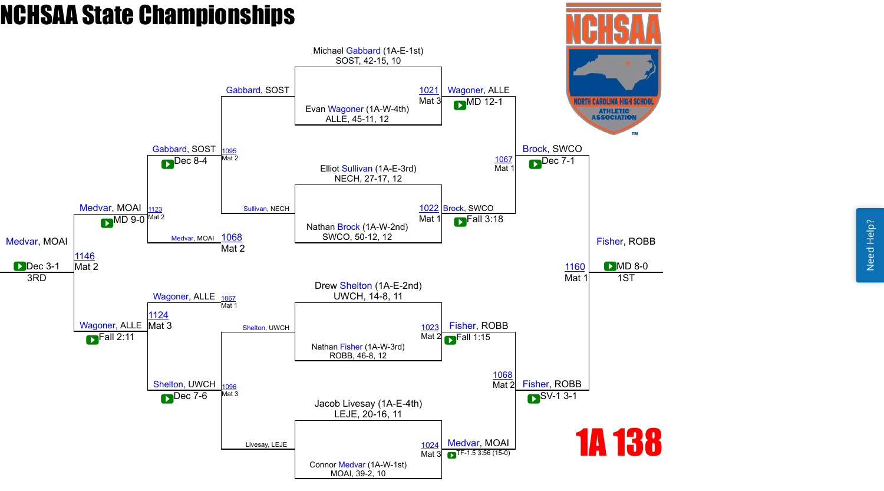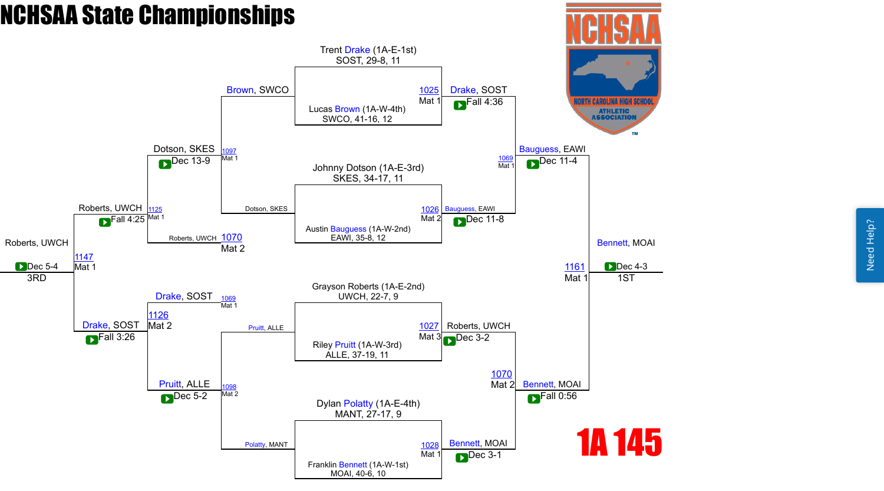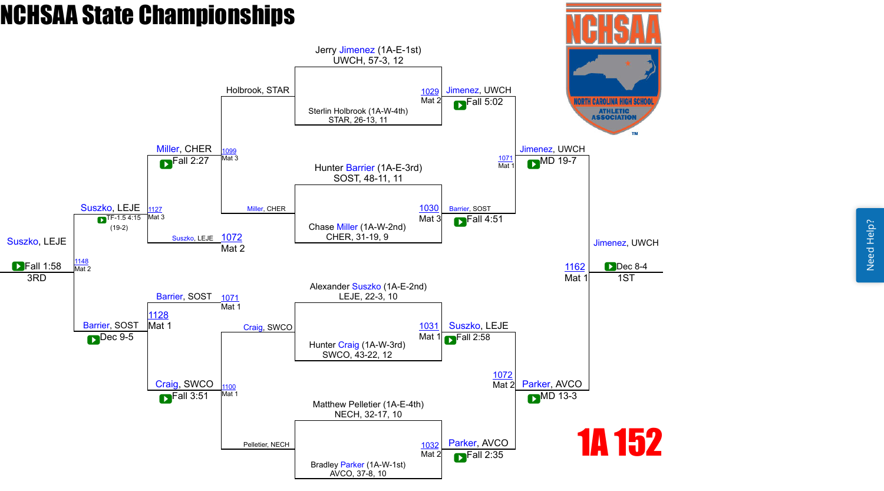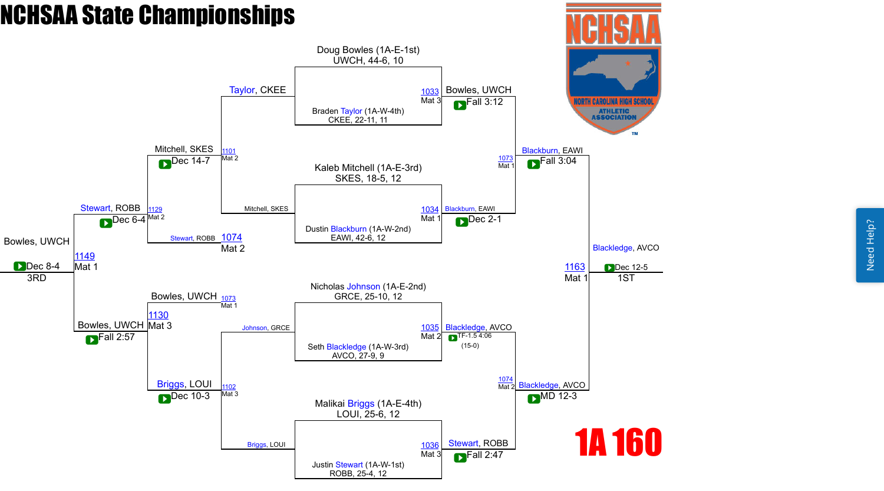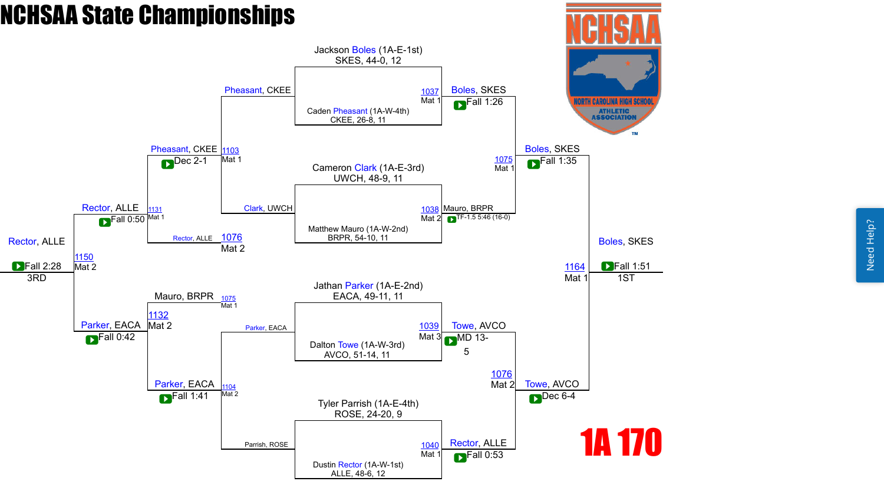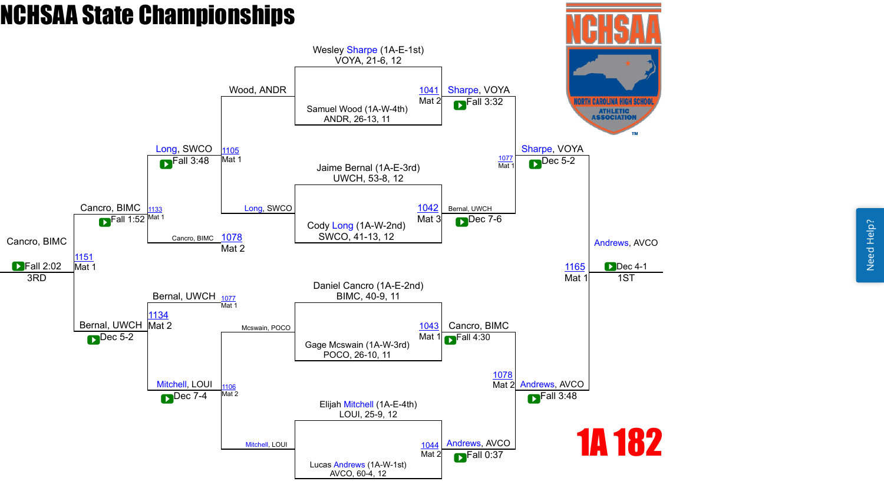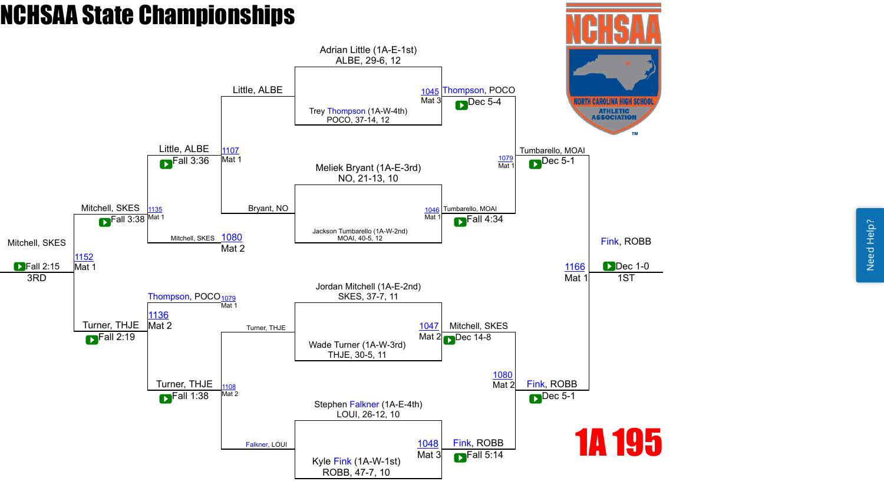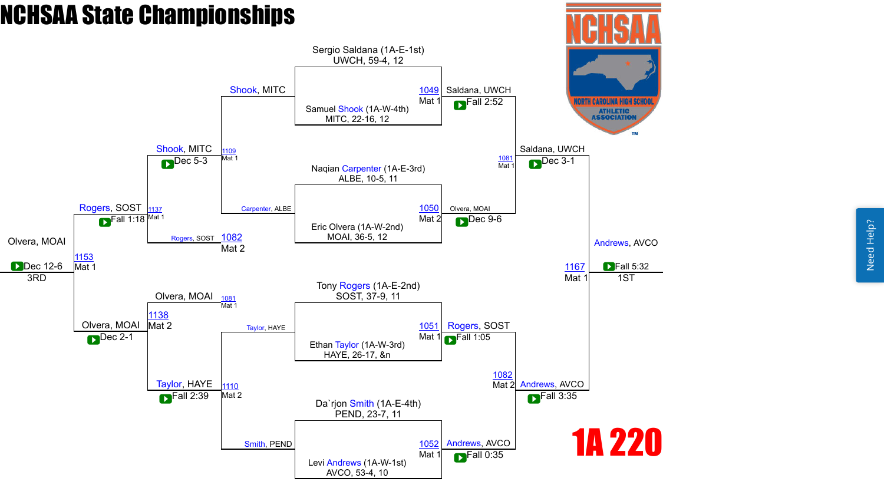